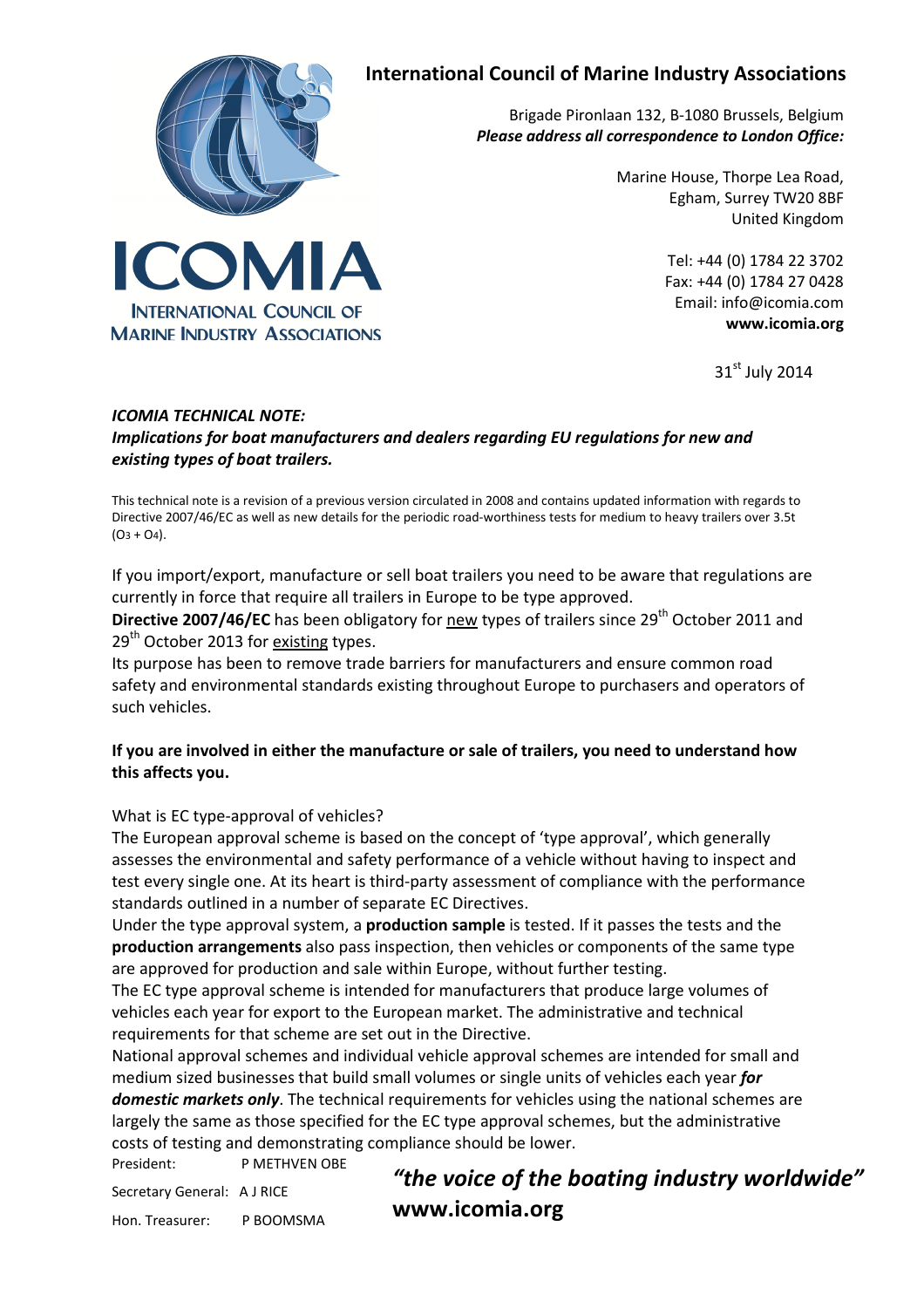

**INTERNATIONAL COUNCIL OF MARINE INDUSTRY ASSOCIATIONS** 

# International Council of Marine Industry Associations

Brigade Pironlaan 132, B-1080 Brussels, Belgium Please address all correspondence to London Office:

> Marine House, Thorpe Lea Road, Egham, Surrey TW20 8BF United Kingdom

> > Tel: +44 (0) 1784 22 3702 Fax: +44 (0) 1784 27 0428 Email: info@icomia.com www.icomia.org

> > > $31<sup>st</sup>$  July 2014

#### ICOMIA TECHNICAL NOTE: Implications for boat manufacturers and dealers regarding EU regulations for new and existing types of boat trailers.

This technical note is a revision of a previous version circulated in 2008 and contains updated information with regards to Directive 2007/46/EC as well as new details for the periodic road-worthiness tests for medium to heavy trailers over 3.5t  $(O3 + O4)$ .

If you import/export, manufacture or sell boat trailers you need to be aware that regulations are currently in force that require all trailers in Europe to be type approved.

Directive 2007/46/EC has been obligatory for new types of trailers since 29<sup>th</sup> October 2011 and  $29<sup>th</sup>$  October 2013 for existing types.

Its purpose has been to remove trade barriers for manufacturers and ensure common road safety and environmental standards existing throughout Europe to purchasers and operators of such vehicles.

## If you are involved in either the manufacture or sale of trailers, you need to understand how this affects you.

## What is EC type-approval of vehicles?

The European approval scheme is based on the concept of 'type approval', which generally assesses the environmental and safety performance of a vehicle without having to inspect and test every single one. At its heart is third-party assessment of compliance with the performance standards outlined in a number of separate EC Directives.

Under the type approval system, a **production sample** is tested. If it passes the tests and the production arrangements also pass inspection, then vehicles or components of the same type are approved for production and sale within Europe, without further testing.

The EC type approval scheme is intended for manufacturers that produce large volumes of vehicles each year for export to the European market. The administrative and technical requirements for that scheme are set out in the Directive.

National approval schemes and individual vehicle approval schemes are intended for small and medium sized businesses that build small volumes or single units of vehicles each year for domestic markets only. The technical requirements for vehicles using the national schemes are largely the same as those specified for the EC type approval schemes, but the administrative costs of testing and demonstrating compliance should be lower.

President: P METHVEN OBE

Secretary General: A J RICE

Hon. Treasurer: P BOOMSMA

"the voice of the boating industry worldwide" www.icomia.org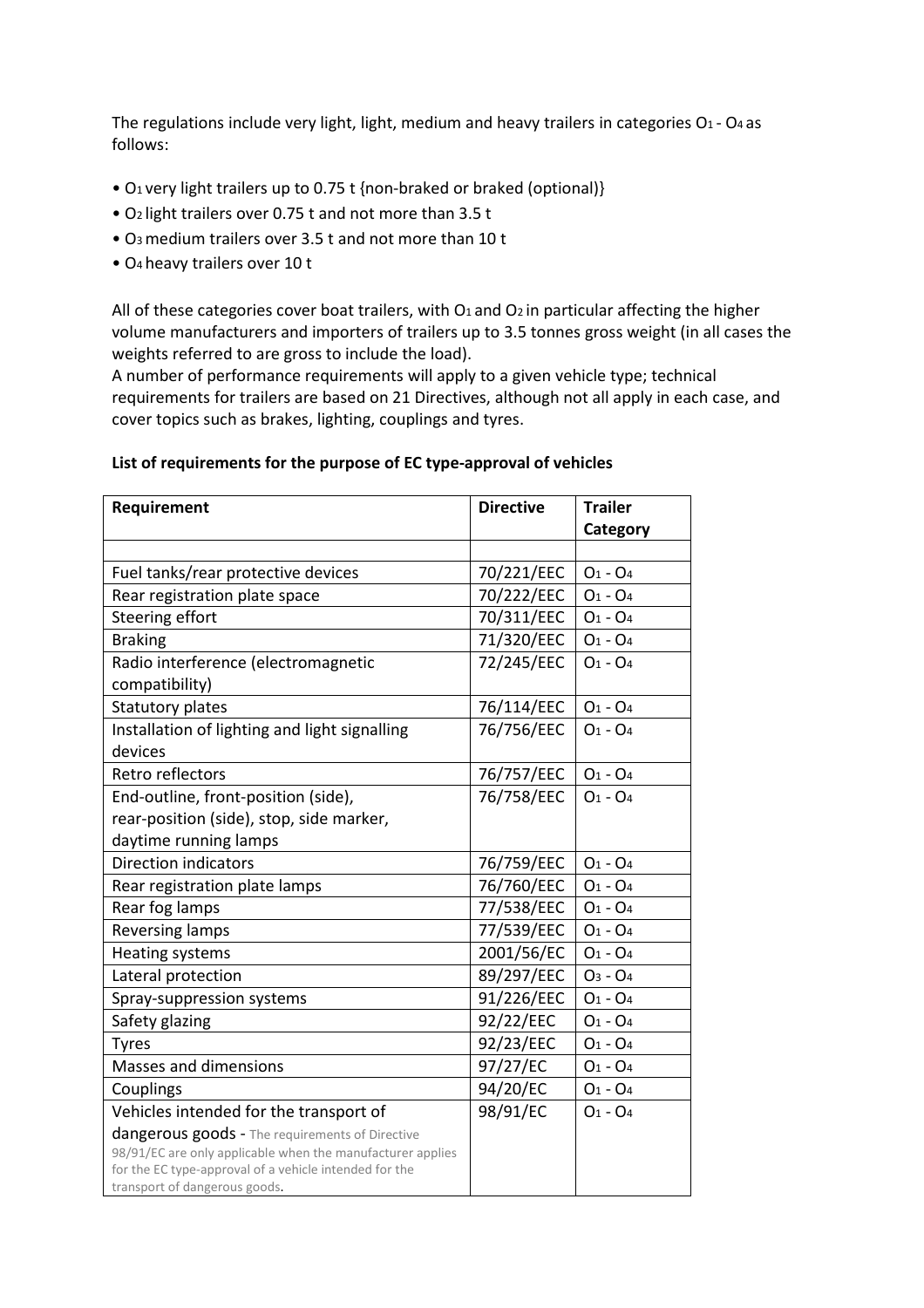The regulations include very light, light, medium and heavy trailers in categories  $O_1$  -  $O_4$  as follows:

- O1 very light trailers up to 0.75 t {non-braked or braked (optional)}
- O2 light trailers over 0.75 t and not more than 3.5 t
- O3 medium trailers over 3.5 t and not more than 10 t
- O4 heavy trailers over 10 t

All of these categories cover boat trailers, with  $O_1$  and  $O_2$  in particular affecting the higher volume manufacturers and importers of trailers up to 3.5 tonnes gross weight (in all cases the weights referred to are gross to include the load).

A number of performance requirements will apply to a given vehicle type; technical requirements for trailers are based on 21 Directives, although not all apply in each case, and cover topics such as brakes, lighting, couplings and tyres.

#### List of requirements for the purpose of EC type-approval of vehicles

| Requirement                                                                             | <b>Directive</b> | <b>Trailer</b> |
|-----------------------------------------------------------------------------------------|------------------|----------------|
|                                                                                         |                  | Category       |
|                                                                                         |                  |                |
| Fuel tanks/rear protective devices                                                      | 70/221/EEC       | $O_1 - O_4$    |
| Rear registration plate space                                                           | 70/222/EEC       | $O_1 - O_4$    |
| Steering effort                                                                         | 70/311/EEC       | $O_1 - O_4$    |
| <b>Braking</b>                                                                          | 71/320/EEC       | $O_1 - O_4$    |
| Radio interference (electromagnetic                                                     | 72/245/EEC       | $O_1 - O_4$    |
| compatibility)                                                                          |                  |                |
| <b>Statutory plates</b>                                                                 | 76/114/EEC       | $O_1 - O_4$    |
| Installation of lighting and light signalling                                           | 76/756/EEC       | $O_1 - O_4$    |
| devices                                                                                 |                  |                |
| Retro reflectors                                                                        | 76/757/EEC       | $O_1 - O_4$    |
| End-outline, front-position (side),                                                     | 76/758/EEC       | $O_1 - O_4$    |
| rear-position (side), stop, side marker,                                                |                  |                |
| daytime running lamps                                                                   |                  |                |
| <b>Direction indicators</b>                                                             | 76/759/EEC       | $O_1 - O_4$    |
| Rear registration plate lamps                                                           | 76/760/EEC       | $O_1 - O_4$    |
| Rear fog lamps                                                                          | 77/538/EEC       | $O_1 - O_4$    |
| <b>Reversing lamps</b>                                                                  | 77/539/EEC       | $O_1 - O_4$    |
| <b>Heating systems</b>                                                                  | 2001/56/EC       | $O_1 - O_4$    |
| Lateral protection                                                                      | 89/297/EEC       | $O_3 - O_4$    |
| Spray-suppression systems                                                               | 91/226/EEC       | $O_1 - O_4$    |
| Safety glazing                                                                          | 92/22/EEC        | $O_1 - O_4$    |
| <b>Tyres</b>                                                                            | 92/23/EEC        | $O_1 - O_4$    |
| Masses and dimensions                                                                   | 97/27/EC         | $O_1 - O_4$    |
| Couplings                                                                               | 94/20/EC         | $O_1 - O_4$    |
| Vehicles intended for the transport of                                                  | 98/91/EC         | $O_1 - O_4$    |
| dangerous goods - The requirements of Directive                                         |                  |                |
| 98/91/EC are only applicable when the manufacturer applies                              |                  |                |
| for the EC type-approval of a vehicle intended for the<br>transport of dangerous goods. |                  |                |
|                                                                                         |                  |                |